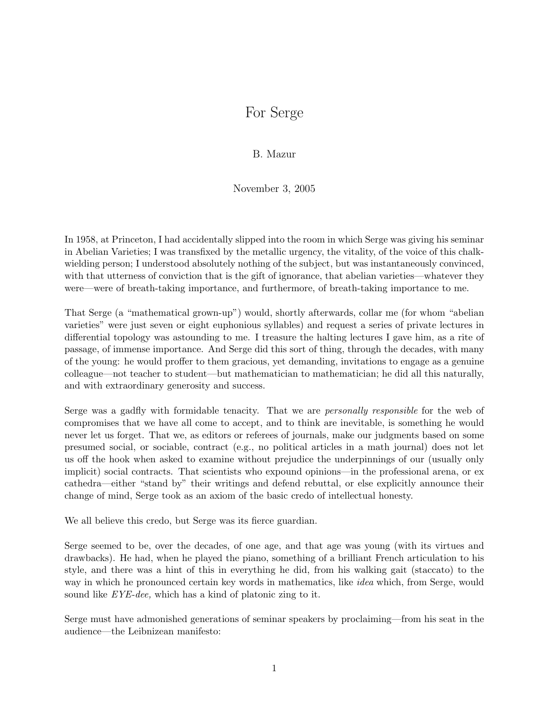## For Serge

B. Mazur

November 3, 2005

In 1958, at Princeton, I had accidentally slipped into the room in which Serge was giving his seminar in Abelian Varieties; I was transfixed by the metallic urgency, the vitality, of the voice of this chalkwielding person; I understood absolutely nothing of the subject, but was instantaneously convinced, with that utterness of conviction that is the gift of ignorance, that abelian varieties—whatever they were—were of breath-taking importance, and furthermore, of breath-taking importance to me.

That Serge (a "mathematical grown-up") would, shortly afterwards, collar me (for whom "abelian varieties" were just seven or eight euphonious syllables) and request a series of private lectures in differential topology was astounding to me. I treasure the halting lectures I gave him, as a rite of passage, of immense importance. And Serge did this sort of thing, through the decades, with many of the young: he would proffer to them gracious, yet demanding, invitations to engage as a genuine colleague—not teacher to student—but mathematician to mathematician; he did all this naturally, and with extraordinary generosity and success.

Serge was a gadfly with formidable tenacity. That we are *personally responsible* for the web of compromises that we have all come to accept, and to think are inevitable, is something he would never let us forget. That we, as editors or referees of journals, make our judgments based on some presumed social, or sociable, contract (e.g., no political articles in a math journal) does not let us off the hook when asked to examine without prejudice the underpinnings of our (usually only implicit) social contracts. That scientists who expound opinions—in the professional arena, or ex cathedra—either "stand by" their writings and defend rebuttal, or else explicitly announce their change of mind, Serge took as an axiom of the basic credo of intellectual honesty.

We all believe this credo, but Serge was its fierce guardian.

Serge seemed to be, over the decades, of one age, and that age was young (with its virtues and drawbacks). He had, when he played the piano, something of a brilliant French articulation to his style, and there was a hint of this in everything he did, from his walking gait (staccato) to the way in which he pronounced certain key words in mathematics, like *idea* which, from Serge, would sound like *EYE-dee*, which has a kind of platonic zing to it.

Serge must have admonished generations of seminar speakers by proclaiming—from his seat in the audience—the Leibnizean manifesto: